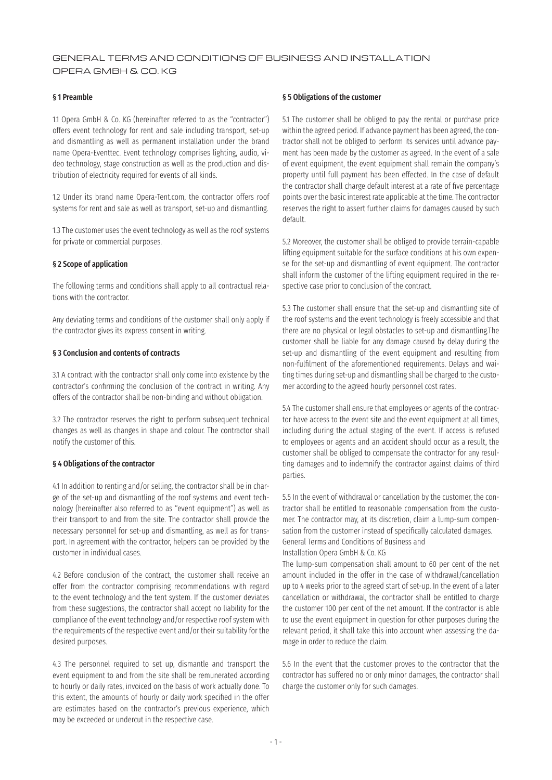# GENERAL TERMS AND CONDITIONS OF BUSINESS AND INSTALLATION OPERA GMBH & CO. KG

# § 1 Preamble

1.1 Opera GmbH & Co. KG (hereinafter referred to as the "contractor") offers event technology for rent and sale including transport, set-up and dismantling as well as permanent installation under the brand name Opera-Eventtec. Event technology comprises lighting, audio, video technology, stage construction as well as the production and distribution of electricity required for events of all kinds.

1.2 Under its brand name Opera-Tent.com, the contractor offers roof systems for rent and sale as well as transport, set-up and dismantling.

1.3 The customer uses the event technology as well as the roof systems for private or commercial purposes.

#### § 2 Scope of application

The following terms and conditions shall apply to all contractual relations with the contractor.

Any deviating terms and conditions of the customer shall only apply if the contractor gives its express consent in writing.

# § 3 Conclusion and contents of contracts

3.1 A contract with the contractor shall only come into existence by the contractor's confirming the conclusion of the contract in writing. Any offers of the contractor shall be non-binding and without obligation.

3.2 The contractor reserves the right to perform subsequent technical changes as well as changes in shape and colour. The contractor shall notify the customer of this.

# § 4 Obligations of the contractor

4.1 In addition to renting and/or selling, the contractor shall be in charge of the set-up and dismantling of the roof systems and event technology (hereinafter also referred to as "event equipment") as well as their transport to and from the site. The contractor shall provide the necessary personnel for set-up and dismantling, as well as for transport. In agreement with the contractor, helpers can be provided by the customer in individual cases.

4.2 Before conclusion of the contract, the customer shall receive an offer from the contractor comprising recommendations with regard to the event technology and the tent system. If the customer deviates from these suggestions, the contractor shall accept no liability for the compliance of the event technology and/or respective roof system with the requirements of the respective event and/or their suitability for the desired purposes.

4.3 The personnel required to set up, dismantle and transport the event equipment to and from the site shall be remunerated according to hourly or daily rates, invoiced on the basis of work actually done. To this extent, the amounts of hourly or daily work specified in the offer are estimates based on the contractor's previous experience, which may be exceeded or undercut in the respective case.

### § 5 Obligations of the customer

5.1 The customer shall be obliged to pay the rental or purchase price within the agreed period. If advance payment has been agreed, the contractor shall not be obliged to perform its services until advance payment has been made by the customer as agreed. In the event of a sale of event equipment, the event equipment shall remain the company's property until full payment has been effected. In the case of default the contractor shall charge default interest at a rate of five percentage points over the basic interest rate applicable at the time. The contractor reserves the right to assert further claims for damages caused by such default.

5.2 Moreover, the customer shall be obliged to provide terrain-capable lifting equipment suitable for the surface conditions at his own expense for the set-up and dismantling of event equipment. The contractor shall inform the customer of the lifting equipment required in the respective case prior to conclusion of the contract.

5.3 The customer shall ensure that the set-up and dismantling site of the roof systems and the event technology is freely accessible and that there are no physical or legal obstacles to set-up and dismantling.The customer shall be liable for any damage caused by delay during the set-up and dismantling of the event equipment and resulting from non-fulfilment of the aforementioned requirements. Delays and waiting times during set-up and dismantling shall be charged to the customer according to the agreed hourly personnel cost rates.

5.4 The customer shall ensure that employees or agents of the contractor have access to the event site and the event equipment at all times, including during the actual staging of the event. If access is refused to employees or agents and an accident should occur as a result, the customer shall be obliged to compensate the contractor for any resulting damages and to indemnify the contractor against claims of third parties.

5.5 In the event of withdrawal or cancellation by the customer, the contractor shall be entitled to reasonable compensation from the customer. The contractor may, at its discretion, claim a lump-sum compensation from the customer instead of specifically calculated damages. General Terms and Conditions of Business and Installation Opera GmbH & Co. KG

The lump-sum compensation shall amount to 60 per cent of the net amount included in the offer in the case of withdrawal/cancellation up to 4 weeks prior to the agreed start of set-up. In the event of a later cancellation or withdrawal, the contractor shall be entitled to charge the customer 100 per cent of the net amount. If the contractor is able to use the event equipment in question for other purposes during the relevant period, it shall take this into account when assessing the damage in order to reduce the claim.

5.6 In the event that the customer proves to the contractor that the contractor has suffered no or only minor damages, the contractor shall charge the customer only for such damages.